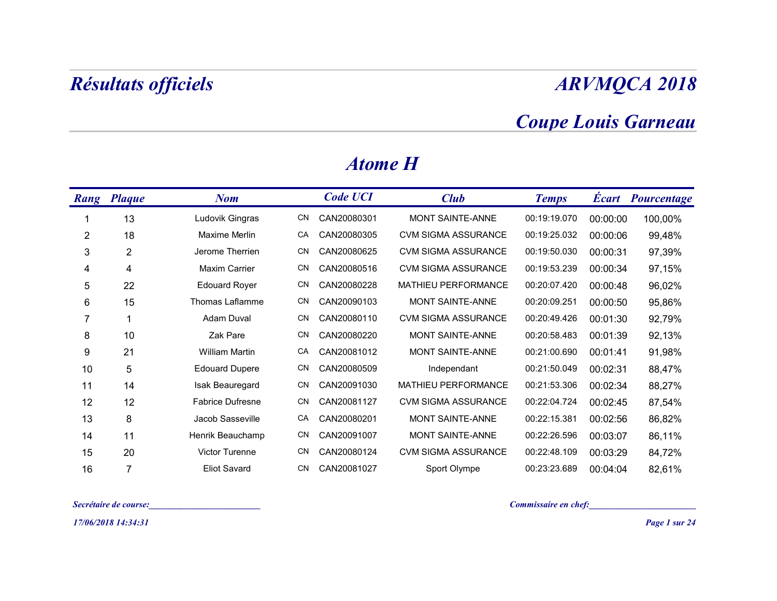## Coupe Louis Garneau

|                | Résultats officiels   |                       |     |                 |                            |                            |          | <b>ARVMQCA 2018</b>      |
|----------------|-----------------------|-----------------------|-----|-----------------|----------------------------|----------------------------|----------|--------------------------|
|                |                       |                       |     |                 |                            | <b>Coupe Louis Garneau</b> |          |                          |
|                |                       |                       |     | <b>Atome H</b>  |                            |                            |          |                          |
|                | Rang Plaque           | <b>Nom</b>            |     | <b>Code UCI</b> | Club                       | <b>Temps</b>               |          | <b>Écart Pourcentage</b> |
| -1             | 13                    | Ludovik Gingras       | CN  | CAN20080301     | MONT SAINTE-ANNE           | 00:19:19.070               | 00:00:00 | 100,00%                  |
| $\overline{c}$ | 18                    | Maxime Merlin         | CA  | CAN20080305     | <b>CVM SIGMA ASSURANCE</b> | 00:19:25.032               | 00:00:06 | 99,48%                   |
| 3              | $\overline{c}$        | Jerome Therrien       | CN  | CAN20080625     | <b>CVM SIGMA ASSURANCE</b> | 00:19:50.030               | 00:00:31 | 97,39%                   |
| 4              | 4                     | <b>Maxim Carrier</b>  | CN  | CAN20080516     | CVM SIGMA ASSURANCE        | 00:19:53.239               | 00:00:34 | 97,15%                   |
| 5              | 22                    | <b>Edouard Royer</b>  | CN  | CAN20080228     | MATHIEU PERFORMANCE        | 00:20:07.420               | 00:00:48 | 96,02%                   |
| 6              | 15                    | Thomas Laflamme       | CN  | CAN20090103     | MONT SAINTE-ANNE           | 00:20:09.251               | 00:00:50 | 95,86%                   |
| $\overline{7}$ | -1                    | <b>Adam Duval</b>     | CN  | CAN20080110     | <b>CVM SIGMA ASSURANCE</b> | 00:20:49.426               | 00:01:30 | 92,79%                   |
| 8              | 10                    | Zak Pare              | CN  | CAN20080220     | MONT SAINTE-ANNE           | 00:20:58.483               | 00:01:39 | 92,13%                   |
| 9              | 21                    | <b>William Martin</b> | CA  | CAN20081012     | MONT SAINTE-ANNE           | 00:21:00.690               | 00:01:41 | 91,98%                   |
| 10             | 5                     | <b>Edouard Dupere</b> | CN. | CAN20080509     | Independant                | 00:21:50.049               | 00:02:31 | 88,47%                   |
| 11             | 14                    | Isak Beauregard       |     | CN CAN20091030  | MATHIEU PERFORMANCE        | 00:21:53.306               | 00:02:34 | 88,27%                   |
| 12             | 12                    | Fabrice Dufresne      |     | CN CAN20081127  | <b>CVM SIGMA ASSURANCE</b> | 00:22:04.724               | 00:02:45 | 87,54%                   |
| 13             | 8                     | Jacob Sasseville      |     | CA CAN20080201  | MONT SAINTE-ANNE           | 00:22:15.381               | 00:02:56 | 86,82%                   |
| 14             | 11                    | Henrik Beauchamp      |     | CN CAN20091007  | MONT SAINTE-ANNE           | 00:22:26.596               | 00:03:07 | 86,11%                   |
| 15             | 20                    | Victor Turenne        |     | CN CAN20080124  | <b>CVM SIGMA ASSURANCE</b> | 00:22:48.109               | 00:03:29 | 84,72%                   |
| 16             | $\overline{7}$        | <b>Eliot Savard</b>   |     | CN CAN20081027  | Sport Olympe               | 00:23:23.689               | 00:04:04 | 82,61%                   |
|                | Secrétaire de course: |                       |     |                 |                            | Commissaire en chef:       |          |                          |
|                | 17/06/2018 14:34:31   |                       |     |                 |                            |                            |          | Page 1 sur 24            |

#### Atome H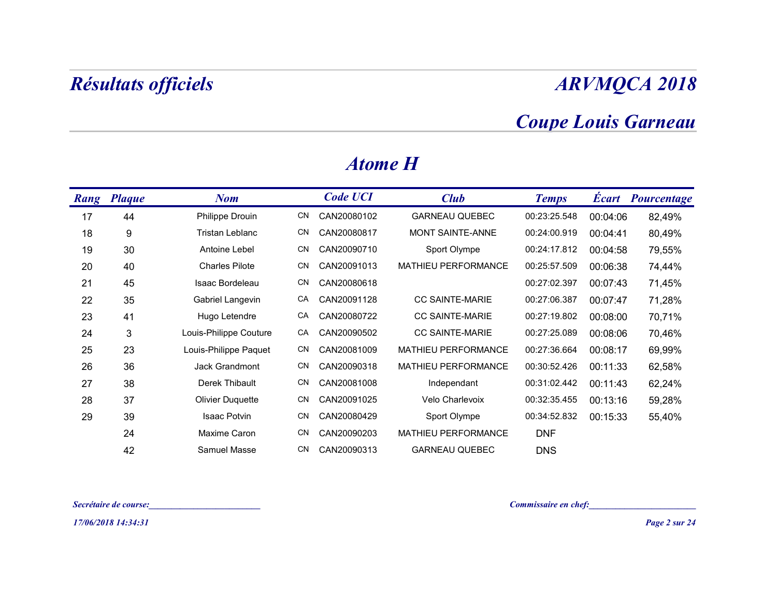## Coupe Louis Garneau

| <b>Coupe Louis Garneau</b><br><b>Atome H</b><br><b>Code UCI</b><br>Rang Plaque<br><b>Club</b><br><b>Écart Pourcentage</b><br><b>Nom</b><br><b>Temps</b><br>44<br><b>GARNEAU QUEBEC</b><br>00:23:25.548<br>17<br>Philippe Drouin<br>CAN20080102<br>00:04:06<br>82,49%<br>CN<br>MONT SAINTE-ANNE<br>Tristan Leblanc<br>00:24:00.919<br>18<br>CN<br>CAN20080817<br>00:04:41<br>80,49%<br>9<br>19<br>00:24:17.812<br>30<br>Antoine Lebel<br>CN<br>CAN20090710<br>Sport Olympe<br>00:04:58<br>79,55%<br>20<br><b>Charles Pilote</b><br>00:25:57.509<br>40<br>CN<br>CAN20091013<br>MATHIEU PERFORMANCE<br>00:06:38<br>74,44%<br>Isaac Bordeleau<br>21<br>CN<br>CAN20080618<br>00:27:02.397<br>00:07:43<br>71,45%<br>45<br>CC SAINTE-MARIE<br>00:27:06.387<br>22<br>Gabriel Langevin<br>CA<br>CAN20091128<br>00:07:47<br>71,28%<br>35<br>CC SAINTE-MARIE<br>23<br>Hugo Letendre<br>CAN20080722<br>00:27:19.802<br>00:08:00<br>70,71%<br>41<br>CA<br>24<br>3<br>Louis-Philippe Couture<br>CA<br>CC SAINTE-MARIE<br>00:27:25.089<br>70,46%<br>CAN20090502<br>00:08:06<br>25<br>23<br>Louis-Philippe Paquet<br>MATHIEU PERFORMANCE<br>00:27:36.664<br>CN<br>CAN20081009<br>00:08:17<br>69,99%<br>26<br>36<br>Jack Grandmont<br>CAN20090318<br>MATHIEU PERFORMANCE<br>00:30:52.426<br>CN<br>00:11:33<br>62,58%<br>CN<br>27<br>38<br>Derek Thibault<br>CAN20081008<br>00:31:02.442<br>62,24%<br>00:11:43<br>Independant<br>28<br>37<br>Olivier Duquette<br>CN CAN20091025<br>Velo Charlevoix<br>00:32:35.455<br>00:13:16<br>59,28%<br>29<br>39<br>Isaac Potvin<br>Sport Olympe<br>55,40%<br>CN CAN20080429<br>00:34:52.832 00:15:33<br>Maxime Caron<br>24<br>CAN20090203<br>MATHIEU PERFORMANCE<br><b>DNF</b><br>CN.<br>42<br>Samuel Masse<br>CAN20090313<br><b>GARNEAU QUEBEC</b><br><b>DNS</b><br>CN.<br>Commissaire en chef:<br>Secrétaire de course:<br><u> 1999 - Johann Barbara, martin basa</u><br><u> 1990 - Johann Barbara, martin a</u> | <b>Résultats officiels</b> |  |  |  | <b>ARVMQCA 2018</b> |
|---------------------------------------------------------------------------------------------------------------------------------------------------------------------------------------------------------------------------------------------------------------------------------------------------------------------------------------------------------------------------------------------------------------------------------------------------------------------------------------------------------------------------------------------------------------------------------------------------------------------------------------------------------------------------------------------------------------------------------------------------------------------------------------------------------------------------------------------------------------------------------------------------------------------------------------------------------------------------------------------------------------------------------------------------------------------------------------------------------------------------------------------------------------------------------------------------------------------------------------------------------------------------------------------------------------------------------------------------------------------------------------------------------------------------------------------------------------------------------------------------------------------------------------------------------------------------------------------------------------------------------------------------------------------------------------------------------------------------------------------------------------------------------------------------------------------------------------------------------------------------------------------------------------------------------------|----------------------------|--|--|--|---------------------|
|                                                                                                                                                                                                                                                                                                                                                                                                                                                                                                                                                                                                                                                                                                                                                                                                                                                                                                                                                                                                                                                                                                                                                                                                                                                                                                                                                                                                                                                                                                                                                                                                                                                                                                                                                                                                                                                                                                                                       |                            |  |  |  |                     |
|                                                                                                                                                                                                                                                                                                                                                                                                                                                                                                                                                                                                                                                                                                                                                                                                                                                                                                                                                                                                                                                                                                                                                                                                                                                                                                                                                                                                                                                                                                                                                                                                                                                                                                                                                                                                                                                                                                                                       |                            |  |  |  |                     |
|                                                                                                                                                                                                                                                                                                                                                                                                                                                                                                                                                                                                                                                                                                                                                                                                                                                                                                                                                                                                                                                                                                                                                                                                                                                                                                                                                                                                                                                                                                                                                                                                                                                                                                                                                                                                                                                                                                                                       |                            |  |  |  |                     |
|                                                                                                                                                                                                                                                                                                                                                                                                                                                                                                                                                                                                                                                                                                                                                                                                                                                                                                                                                                                                                                                                                                                                                                                                                                                                                                                                                                                                                                                                                                                                                                                                                                                                                                                                                                                                                                                                                                                                       |                            |  |  |  |                     |
|                                                                                                                                                                                                                                                                                                                                                                                                                                                                                                                                                                                                                                                                                                                                                                                                                                                                                                                                                                                                                                                                                                                                                                                                                                                                                                                                                                                                                                                                                                                                                                                                                                                                                                                                                                                                                                                                                                                                       |                            |  |  |  |                     |
|                                                                                                                                                                                                                                                                                                                                                                                                                                                                                                                                                                                                                                                                                                                                                                                                                                                                                                                                                                                                                                                                                                                                                                                                                                                                                                                                                                                                                                                                                                                                                                                                                                                                                                                                                                                                                                                                                                                                       |                            |  |  |  |                     |
|                                                                                                                                                                                                                                                                                                                                                                                                                                                                                                                                                                                                                                                                                                                                                                                                                                                                                                                                                                                                                                                                                                                                                                                                                                                                                                                                                                                                                                                                                                                                                                                                                                                                                                                                                                                                                                                                                                                                       |                            |  |  |  |                     |
|                                                                                                                                                                                                                                                                                                                                                                                                                                                                                                                                                                                                                                                                                                                                                                                                                                                                                                                                                                                                                                                                                                                                                                                                                                                                                                                                                                                                                                                                                                                                                                                                                                                                                                                                                                                                                                                                                                                                       |                            |  |  |  |                     |
|                                                                                                                                                                                                                                                                                                                                                                                                                                                                                                                                                                                                                                                                                                                                                                                                                                                                                                                                                                                                                                                                                                                                                                                                                                                                                                                                                                                                                                                                                                                                                                                                                                                                                                                                                                                                                                                                                                                                       |                            |  |  |  |                     |
|                                                                                                                                                                                                                                                                                                                                                                                                                                                                                                                                                                                                                                                                                                                                                                                                                                                                                                                                                                                                                                                                                                                                                                                                                                                                                                                                                                                                                                                                                                                                                                                                                                                                                                                                                                                                                                                                                                                                       |                            |  |  |  |                     |
|                                                                                                                                                                                                                                                                                                                                                                                                                                                                                                                                                                                                                                                                                                                                                                                                                                                                                                                                                                                                                                                                                                                                                                                                                                                                                                                                                                                                                                                                                                                                                                                                                                                                                                                                                                                                                                                                                                                                       |                            |  |  |  |                     |
|                                                                                                                                                                                                                                                                                                                                                                                                                                                                                                                                                                                                                                                                                                                                                                                                                                                                                                                                                                                                                                                                                                                                                                                                                                                                                                                                                                                                                                                                                                                                                                                                                                                                                                                                                                                                                                                                                                                                       |                            |  |  |  |                     |
|                                                                                                                                                                                                                                                                                                                                                                                                                                                                                                                                                                                                                                                                                                                                                                                                                                                                                                                                                                                                                                                                                                                                                                                                                                                                                                                                                                                                                                                                                                                                                                                                                                                                                                                                                                                                                                                                                                                                       |                            |  |  |  |                     |
|                                                                                                                                                                                                                                                                                                                                                                                                                                                                                                                                                                                                                                                                                                                                                                                                                                                                                                                                                                                                                                                                                                                                                                                                                                                                                                                                                                                                                                                                                                                                                                                                                                                                                                                                                                                                                                                                                                                                       |                            |  |  |  |                     |
|                                                                                                                                                                                                                                                                                                                                                                                                                                                                                                                                                                                                                                                                                                                                                                                                                                                                                                                                                                                                                                                                                                                                                                                                                                                                                                                                                                                                                                                                                                                                                                                                                                                                                                                                                                                                                                                                                                                                       |                            |  |  |  |                     |
|                                                                                                                                                                                                                                                                                                                                                                                                                                                                                                                                                                                                                                                                                                                                                                                                                                                                                                                                                                                                                                                                                                                                                                                                                                                                                                                                                                                                                                                                                                                                                                                                                                                                                                                                                                                                                                                                                                                                       |                            |  |  |  |                     |
|                                                                                                                                                                                                                                                                                                                                                                                                                                                                                                                                                                                                                                                                                                                                                                                                                                                                                                                                                                                                                                                                                                                                                                                                                                                                                                                                                                                                                                                                                                                                                                                                                                                                                                                                                                                                                                                                                                                                       |                            |  |  |  |                     |
|                                                                                                                                                                                                                                                                                                                                                                                                                                                                                                                                                                                                                                                                                                                                                                                                                                                                                                                                                                                                                                                                                                                                                                                                                                                                                                                                                                                                                                                                                                                                                                                                                                                                                                                                                                                                                                                                                                                                       |                            |  |  |  |                     |
|                                                                                                                                                                                                                                                                                                                                                                                                                                                                                                                                                                                                                                                                                                                                                                                                                                                                                                                                                                                                                                                                                                                                                                                                                                                                                                                                                                                                                                                                                                                                                                                                                                                                                                                                                                                                                                                                                                                                       |                            |  |  |  |                     |
| 17/06/2018 14:34:31                                                                                                                                                                                                                                                                                                                                                                                                                                                                                                                                                                                                                                                                                                                                                                                                                                                                                                                                                                                                                                                                                                                                                                                                                                                                                                                                                                                                                                                                                                                                                                                                                                                                                                                                                                                                                                                                                                                   |                            |  |  |  | Page 2 sur 24       |

#### Atome H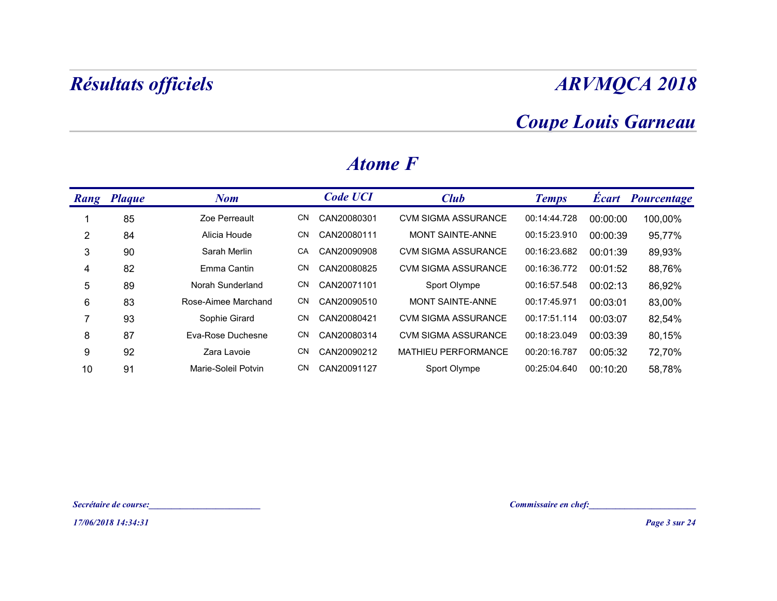### Coupe Louis Garneau

|                | Résultats officiels   |                                                                                                                      |           |                 |                            |                                                    |          | <b>ARVMQCA 2018</b> |
|----------------|-----------------------|----------------------------------------------------------------------------------------------------------------------|-----------|-----------------|----------------------------|----------------------------------------------------|----------|---------------------|
|                |                       |                                                                                                                      |           |                 |                            | <b>Coupe Louis Garneau</b>                         |          |                     |
|                |                       |                                                                                                                      |           | <b>Atome F</b>  |                            |                                                    |          |                     |
|                | Rang Plaque           | <b>Nom</b>                                                                                                           |           | <b>Code UCI</b> | <b>Club</b>                | <b>Temps</b>                                       |          | Écart Pourcentage   |
| -1             | 85                    | Zoe Perreault                                                                                                        | CN        | CAN20080301     | <b>CVM SIGMA ASSURANCE</b> | 00:14:44.728                                       | 00:00:00 | 100,00%             |
| $\overline{2}$ | 84                    | Alicia Houde                                                                                                         | CN        | CAN20080111     | MONT SAINTE-ANNE           | 00:15:23.910                                       | 00:00:39 | 95,77%              |
| $\sqrt{3}$     | 90                    | Sarah Merlin                                                                                                         | CA        | CAN20090908     | <b>CVM SIGMA ASSURANCE</b> | 00:16:23.682                                       | 00:01:39 | 89,93%              |
| 4              | 82                    | Emma Cantin                                                                                                          | CN        | CAN20080825     | <b>CVM SIGMA ASSURANCE</b> | 00:16:36.772                                       | 00:01:52 | 88,76%              |
| $\sqrt{5}$     | 89                    | Norah Sunderland                                                                                                     | CN        | CAN20071101     | Sport Olympe               | 00:16:57.548                                       | 00:02:13 | 86,92%              |
| $\,6$          | 83                    | Rose-Aimee Marchand                                                                                                  | CN        | CAN20090510     | MONT SAINTE-ANNE           | 00:17:45.971                                       | 00:03:01 | 83,00%              |
| $\overline{7}$ | 93                    | Sophie Girard                                                                                                        | CN        | CAN20080421     | <b>CVM SIGMA ASSURANCE</b> | 00:17:51.114                                       | 00:03:07 | 82,54%              |
| 8              | 87                    | Eva-Rose Duchesne                                                                                                    | CN        | CAN20080314     | <b>CVM SIGMA ASSURANCE</b> | 00:18:23.049                                       | 00:03:39 | 80,15%              |
| 9              | 92                    | Zara Lavoie                                                                                                          | CN        | CAN20090212     | MATHIEU PERFORMANCE        | 00:20:16.787                                       | 00:05:32 | 72,70%              |
| 10             | 91                    | Marie-Soleil Potvin                                                                                                  | <b>CN</b> | CAN20091127     | Sport Olympe               | 00:25:04.640                                       | 00:10:20 | 58,78%              |
|                |                       |                                                                                                                      |           |                 |                            |                                                    |          |                     |
|                |                       |                                                                                                                      |           |                 |                            |                                                    |          |                     |
|                | Secrétaire de course: | <u> 1950 - Johann Barbara, martin da kasas a shekara 1950 - 1951 - 1951 - 1951 - 1951 - 1951 - 1951 - 1951 - 195</u> |           |                 |                            | Commissaire en chef:<br><u>Commissaire en chef</u> |          |                     |
|                | 17/06/2018 14:34:31   |                                                                                                                      |           |                 |                            |                                                    |          | Page 3 sur 24       |

#### Atome F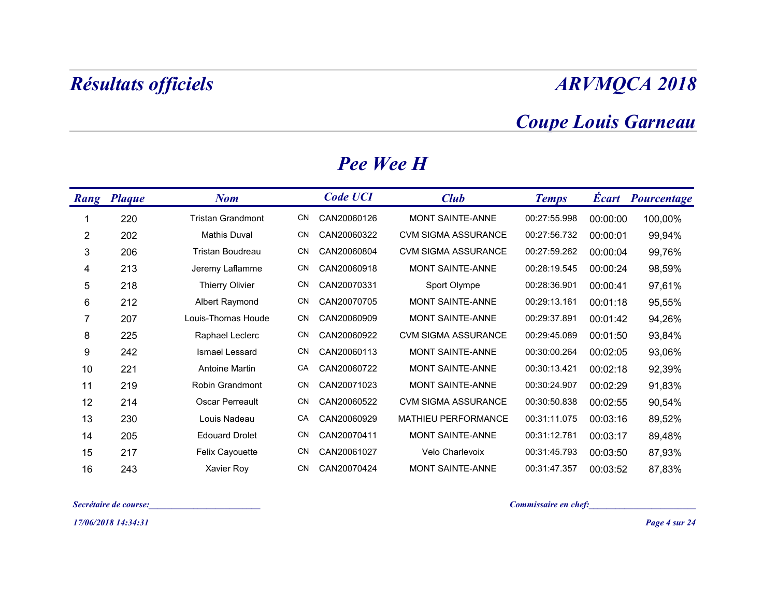### Coupe Louis Garneau

|                         | Résultats officiels   |                          |     |                 |                            |                            |          | <b>ARVMQCA 2018</b>      |
|-------------------------|-----------------------|--------------------------|-----|-----------------|----------------------------|----------------------------|----------|--------------------------|
|                         |                       |                          |     |                 |                            | <b>Coupe Louis Garneau</b> |          |                          |
|                         |                       |                          |     | Pee Wee H       |                            |                            |          |                          |
|                         | <b>Rang Plaque</b>    | <b>Nom</b>               |     | <b>Code UCI</b> | <b>Club</b>                | <b>Temps</b>               |          | <b>Écart Pourcentage</b> |
| 1                       | 220                   | <b>Tristan Grandmont</b> | CN  | CAN20060126     | MONT SAINTE-ANNE           | 00:27:55.998               | 00:00:00 | 100,00%                  |
| $\overline{\mathbf{c}}$ | 202                   | <b>Mathis Duval</b>      | CN. | CAN20060322     | <b>CVM SIGMA ASSURANCE</b> | 00:27:56.732               | 00:00:01 | 99,94%                   |
| $\mathsf 3$             | 206                   | Tristan Boudreau         | CN  | CAN20060804     | <b>CVM SIGMA ASSURANCE</b> | 00:27:59.262               | 00:00:04 | 99,76%                   |
| 4                       | 213                   | Jeremy Laflamme          | CN  | CAN20060918     | MONT SAINTE-ANNE           | 00:28:19.545               | 00:00:24 | 98,59%                   |
| 5                       | 218                   | <b>Thierry Olivier</b>   | CN  | CAN20070331     | Sport Olympe               | 00:28:36.901               | 00:00:41 | 97,61%                   |
| 6                       | 212                   | Albert Raymond           | CN  | CAN20070705     | MONT SAINTE-ANNE           | 00:29:13.161               | 00:01:18 | 95,55%                   |
| $\overline{7}$          | 207                   | Louis-Thomas Houde       | CN. | CAN20060909     | MONT SAINTE-ANNE           | 00:29:37.891               | 00:01:42 | 94,26%                   |
| 8                       | 225                   | Raphael Leclerc          | CN  | CAN20060922     | <b>CVM SIGMA ASSURANCE</b> | 00:29:45.089               | 00:01:50 | 93,84%                   |
| 9                       | 242                   | Ismael Lessard           | CN  | CAN20060113     | MONT SAINTE-ANNE           | 00:30:00.264               | 00:02:05 | 93,06%                   |
| 10                      | 221                   | Antoine Martin           | CA  | CAN20060722     | MONT SAINTE-ANNE           | 00:30:13.421               | 00:02:18 | 92,39%                   |
| 11                      | 219                   | Robin Grandmont          | CN  | CAN20071023     | MONT SAINTE-ANNE           | 00:30:24.907   00:02:29    |          | 91,83%                   |
| 12                      | 214                   | Oscar Perreault          |     | CN CAN20060522  | <b>CVM SIGMA ASSURANCE</b> | 00:30:50.838               | 00:02:55 | 90,54%                   |
| 13                      | 230                   | Louis Nadeau             |     | CA CAN20060929  | MATHIEU PERFORMANCE        | 00:31:11.075               | 00:03:16 | 89,52%                   |
| 14                      | 205                   | <b>Edouard Drolet</b>    |     | CN CAN20070411  | MONT SAINTE-ANNE           | 00:31:12.781               | 00:03:17 | 89,48%                   |
| 15                      | 217                   | Felix Cayouette          |     | CN CAN20061027  | Velo Charlevoix            | 00:31:45.793               | 00:03:50 | 87,93%                   |
| 16                      | 243                   | Xavier Roy               |     | CN CAN20070424  | MONT SAINTE-ANNE           | 00:31:47.357               | 00:03:52 | 87,83%                   |
|                         | Secrétaire de course: |                          |     |                 |                            | Commissaire en chef:       |          |                          |
|                         | 17/06/2018 14:34:31   |                          |     |                 |                            |                            |          | Page 4 sur 24            |

#### Pee Wee H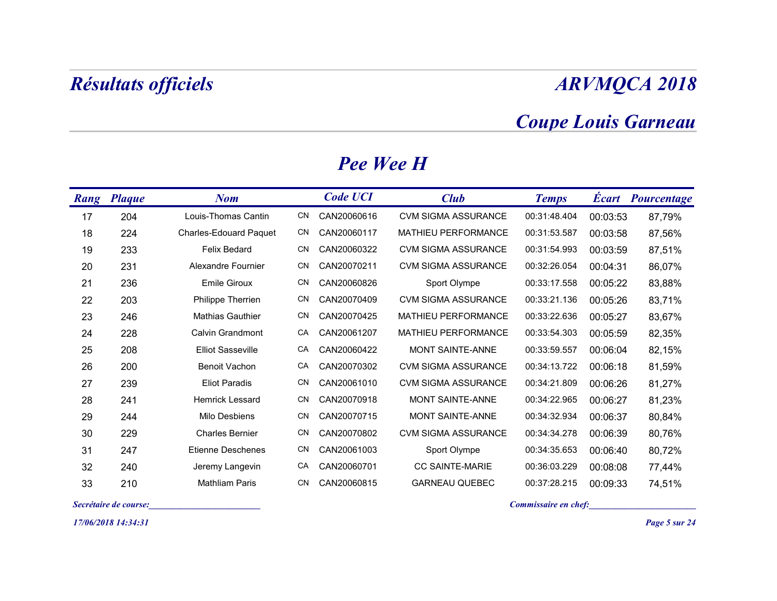### Coupe Louis Garneau

|      |                       | Résultats officiels           |     |                  |                            |                      |          | <b>ARVMQCA 2018</b>        |
|------|-----------------------|-------------------------------|-----|------------------|----------------------------|----------------------|----------|----------------------------|
|      |                       |                               |     |                  |                            |                      |          | <b>Coupe Louis Garneau</b> |
|      |                       |                               |     | <b>Pee Wee H</b> |                            |                      |          |                            |
| Rang | <b>Plaque</b>         | <b>Nom</b>                    |     | <b>Code UCI</b>  | <b>Club</b>                | <b>Temps</b>         |          | <b>Écart</b> Pourcentage   |
| 17   | 204                   | Louis-Thomas Cantin           | CN. | CAN20060616      | <b>CVM SIGMA ASSURANCE</b> | 00:31:48.404         | 00:03:53 | 87,79%                     |
| 18   | 224                   | <b>Charles-Edouard Paquet</b> | CN  | CAN20060117      | MATHIEU PERFORMANCE        | 00:31:53.587         | 00:03:58 | 87,56%                     |
| 19   | 233                   | Felix Bedard                  | CN  | CAN20060322      | <b>CVM SIGMA ASSURANCE</b> | 00:31:54.993         | 00:03:59 | 87,51%                     |
| 20   | 231                   | Alexandre Fournier            | CN  | CAN20070211      | <b>CVM SIGMA ASSURANCE</b> | 00:32:26.054         | 00:04:31 | 86,07%                     |
| 21   | 236                   | <b>Emile Giroux</b>           | CN  | CAN20060826      | Sport Olympe               | 00:33:17.558         | 00:05:22 | 83,88%                     |
| 22   | 203                   | Philippe Therrien             | CN  | CAN20070409      | <b>CVM SIGMA ASSURANCE</b> | 00:33:21.136         | 00:05:26 | 83,71%                     |
| 23   | 246                   | <b>Mathias Gauthier</b>       | CN  | CAN20070425      | MATHIEU PERFORMANCE        | 00:33:22.636         | 00:05:27 | 83,67%                     |
| 24   | 228                   | Calvin Grandmont              | CA  | CAN20061207      | MATHIEU PERFORMANCE        | 00:33:54.303         | 00:05:59 | 82,35%                     |
| 25   | 208                   | <b>Elliot Sasseville</b>      | CA  | CAN20060422      | MONT SAINTE-ANNE           | 00:33:59.557         | 00:06:04 | 82,15%                     |
| 26   | 200                   | <b>Benoit Vachon</b>          | СA  | CAN20070302      | <b>CVM SIGMA ASSURANCE</b> | 00:34:13.722         | 00:06:18 | 81,59%                     |
| 27   | 239                   | <b>Eliot Paradis</b>          | CN  | CAN20061010      | <b>CVM SIGMA ASSURANCE</b> | 00:34:21.809         | 00:06:26 | 81,27%                     |
| 28   | 241                   | Hemrick Lessard               | CN. | CAN20070918      | MONT SAINTE-ANNE           | 00:34:22.965         | 00:06:27 | 81,23%                     |
| 29   | 244                   | Milo Desbiens                 | CN. | CAN20070715      | MONT SAINTE-ANNE           | 00:34:32.934         | 00:06:37 | 80,84%                     |
| 30   | 229                   | <b>Charles Bernier</b>        | CN. | CAN20070802      | <b>CVM SIGMA ASSURANCE</b> | 00:34:34.278         | 00:06:39 | 80,76%                     |
| 31   | 247                   | Etienne Deschenes             | CN  | CAN20061003      | Sport Olympe               | 00:34:35.653         | 00:06:40 | 80,72%                     |
| 32   | 240                   | Jeremy Langevin               | CA  | CAN20060701      | CC SAINTE-MARIE            | 00:36:03.229         | 00:08:08 | 77,44%                     |
| 33   | 210                   | Mathliam Paris                | CN  | CAN20060815      | <b>GARNEAU QUEBEC</b>      | 00:37:28.215         | 00:09:33 | 74,51%                     |
|      | Secrétaire de course: |                               |     |                  |                            | Commissaire en chef: |          |                            |
|      | 17/06/2018 14:34:31   |                               |     |                  |                            |                      |          | Page 5 sur 24              |

#### Pee Wee H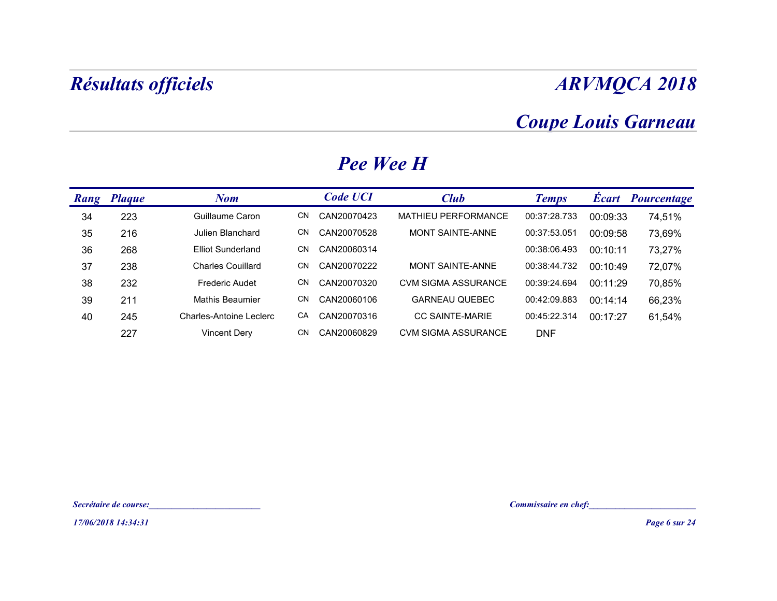### Coupe Louis Garneau

|             | <b>Résultats officiels</b> |                                                                                                                        |                   |                            |                      |          | <b>ARVMQCA 2018</b>        |
|-------------|----------------------------|------------------------------------------------------------------------------------------------------------------------|-------------------|----------------------------|----------------------|----------|----------------------------|
|             |                            |                                                                                                                        |                   |                            |                      |          | <b>Coupe Louis Garneau</b> |
|             |                            |                                                                                                                        |                   | Pee Wee H                  |                      |          |                            |
| <b>Rang</b> | <b>Plaque</b>              | <b>Nom</b>                                                                                                             | <b>Code UCI</b>   | <b>Club</b>                | <b>Temps</b>         |          | <b>Écart Pourcentage</b>   |
| 34          | 223                        | Guillaume Caron                                                                                                        | CN<br>CAN20070423 | MATHIEU PERFORMANCE        | 00:37:28.733         | 00:09:33 | 74,51%                     |
| 35          | 216                        | Julien Blanchard                                                                                                       | CN<br>CAN20070528 | MONT SAINTE-ANNE           | 00:37:53.051         | 00:09:58 | 73,69%                     |
| 36          | 268                        | <b>Elliot Sunderland</b>                                                                                               | CN<br>CAN20060314 |                            | 00:38:06.493         | 00:10:11 | 73,27%                     |
| 37          | 238                        | <b>Charles Couillard</b>                                                                                               | CAN20070222<br>CN | MONT SAINTE-ANNE           | 00:38:44.732         | 00:10:49 | 72,07%                     |
| 38          | 232                        | Frederic Audet                                                                                                         | CN<br>CAN20070320 | <b>CVM SIGMA ASSURANCE</b> | 00:39:24.694         | 00:11:29 | 70,85%                     |
| 39          | 211                        | Mathis Beaumier                                                                                                        | CN<br>CAN20060106 | <b>GARNEAU QUEBEC</b>      | 00:42:09.883         | 00:14:14 | 66,23%                     |
| 40          | 245                        | <b>Charles-Antoine Leclerc</b>                                                                                         | CA<br>CAN20070316 | <b>CC SAINTE-MARIE</b>     | 00:45:22.314         | 00:17:27 | 61,54%                     |
|             | 227                        | <b>Vincent Dery</b>                                                                                                    | CN<br>CAN20060829 | <b>CVM SIGMA ASSURANCE</b> | <b>DNF</b>           |          |                            |
|             |                            |                                                                                                                        |                   |                            |                      |          |                            |
|             |                            |                                                                                                                        |                   |                            |                      |          |                            |
|             | Secrétaire de course:      | <u> 1986 - Johann Stoff, deutscher Stoffen und der Stoffen und der Stoffen und der Stoffen und der Stoffen und der</u> |                   |                            | Commissaire en chef: |          |                            |
|             | 17/06/2018 14:34:31        |                                                                                                                        |                   |                            |                      |          | Page 6 sur 24              |

#### Pee Wee H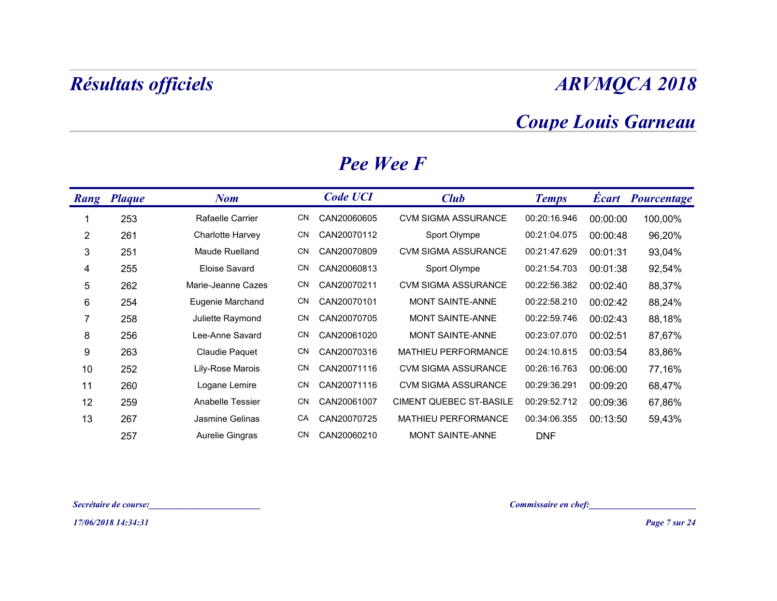### Coupe Louis Garneau

|                | <b>Résultats officiels</b> |                       |           |                  |                            |              |          | <b>ARVMQCA 2018</b>        |
|----------------|----------------------------|-----------------------|-----------|------------------|----------------------------|--------------|----------|----------------------------|
|                |                            |                       |           |                  |                            |              |          | <b>Coupe Louis Garneau</b> |
|                |                            |                       |           | <b>Pee Wee F</b> |                            |              |          |                            |
|                | Rang Plaque                | <b>Nom</b>            |           | <b>Code UCI</b>  | <b>Club</b>                | <b>Temps</b> |          | <b>Écart Pourcentage</b>   |
| -1             | 253                        | Rafaelle Carrier      | CN        | CAN20060605      | <b>CVM SIGMA ASSURANCE</b> | 00:20:16.946 | 00:00:00 | 100,00%                    |
| 2              | 261                        | Charlotte Harvey      | CN        | CAN20070112      | Sport Olympe               | 00:21:04.075 | 00:00:48 | 96,20%                     |
| 3              | 251                        | Maude Ruelland        | <b>CN</b> | CAN20070809      | <b>CVM SIGMA ASSURANCE</b> | 00:21:47.629 | 00:01:31 | 93,04%                     |
| 4              | 255                        | Eloise Savard         | CN        | CAN20060813      | Sport Olympe               | 00:21:54.703 | 00:01:38 | 92,54%                     |
| 5              | 262                        | Marie-Jeanne Cazes    | CN        | CAN20070211      | <b>CVM SIGMA ASSURANCE</b> | 00:22:56.382 | 00:02:40 | 88,37%                     |
| 6              | 254                        | Eugenie Marchand      | CN -      | CAN20070101      | MONT SAINTE-ANNE           | 00:22:58.210 | 00:02:42 | 88,24%                     |
| $\overline{7}$ | 258                        | Juliette Raymond      | CN        | CAN20070705      | MONT SAINTE-ANNE           | 00:22:59.746 | 00:02:43 | 88,18%                     |
| 8              | 256                        | Lee-Anne Savard       |           | CN CAN20061020   | MONT SAINTE-ANNE           | 00:23:07.070 | 00:02:51 | 87,67%                     |
| 9              | 263                        | <b>Claudie Paquet</b> |           | CN CAN20070316   | MATHIEU PERFORMANCE        | 00:24:10.815 | 00:03:54 | 83,86%                     |
| 10             | 252                        | Lily-Rose Marois      | CN.       | CAN20071116      | <b>CVM SIGMA ASSURANCE</b> | 00:26:16.763 | 00:06:00 | 77,16%                     |
| 11             | 260                        | Logane Lemire         |           | CN CAN20071116   | CVM SIGMA ASSURANCE        | 00:29:36.291 | 00:09:20 | 68,47%                     |
| 12             | 259                        | Anabelle Tessier      |           | CN CAN20061007   | CIMENT QUEBEC ST-BASILE    | 00:29:52.712 | 00:09:36 | 67,86%                     |
| 13             | 267                        | Jasmine Gelinas       |           | CA CAN20070725   | MATHIEU PERFORMANCE        | 00:34:06.355 | 00:13:50 | 59,43%                     |
|                | 257                        | Aurelie Gingras       |           | CN CAN20060210   | MONT SAINTE-ANNE           | <b>DNF</b>   |          |                            |

#### Pee Wee F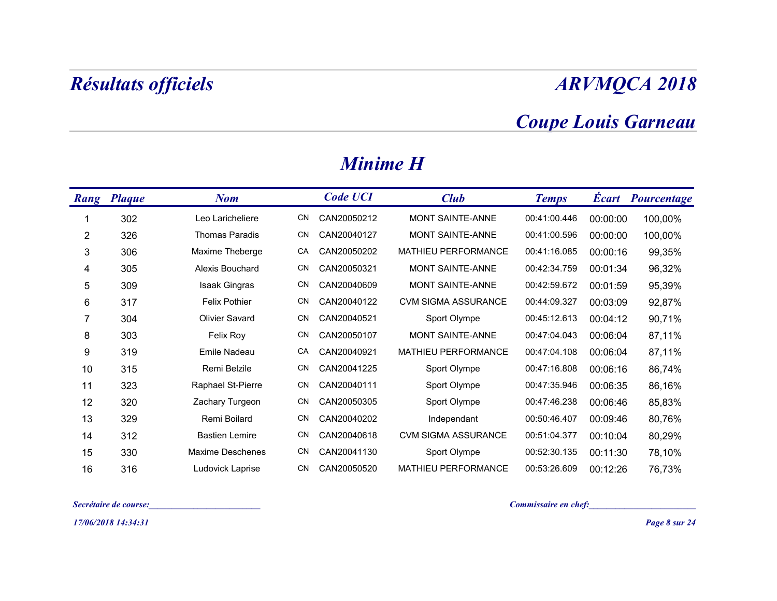## Coupe Louis Garneau

|                | <b>Résultats officiels</b> |                                   |     |                 |                            |                            |          | <b>ARVMQCA 2018</b>      |
|----------------|----------------------------|-----------------------------------|-----|-----------------|----------------------------|----------------------------|----------|--------------------------|
|                |                            |                                   |     |                 |                            | <b>Coupe Louis Garneau</b> |          |                          |
|                |                            |                                   |     | <b>Minime H</b> |                            |                            |          |                          |
|                | <b>Rang</b> Plaque         | <b>Nom</b>                        |     | <b>Code UCI</b> | <b>Club</b>                | <b>Temps</b>               |          | <b>Écart Pourcentage</b> |
| -1             | 302                        | Leo Laricheliere                  | CN. | CAN20050212     | MONT SAINTE-ANNE           | 00:41:00.446               | 00:00:00 | 100,00%                  |
| $\overline{c}$ | 326                        | <b>Thomas Paradis</b>             | CN. | CAN20040127     | MONT SAINTE-ANNE           | 00:41:00.596               | 00:00:00 | 100,00%                  |
| 3              | 306                        | Maxime Theberge                   | CA  | CAN20050202     | MATHIEU PERFORMANCE        | 00:41:16.085               | 00:00:16 | 99,35%                   |
| 4              | 305                        | Alexis Bouchard                   | CN  | CAN20050321     | MONT SAINTE-ANNE           | 00:42:34.759               | 00:01:34 | 96,32%                   |
| $\sqrt{5}$     | 309                        | Isaak Gingras                     | CN  | CAN20040609     | MONT SAINTE-ANNE           | 00:42:59.672               | 00:01:59 | 95,39%                   |
| 6              | 317                        | <b>Felix Pothier</b>              | CN  | CAN20040122     | CVM SIGMA ASSURANCE        | 00:44:09.327               | 00:03:09 | 92,87%                   |
| 7              | 304                        | Olivier Savard                    | CN  | CAN20040521     | Sport Olympe               | 00:45:12.613               | 00:04:12 | 90,71%                   |
| 8              | 303                        | Felix Roy                         | CN  | CAN20050107     | MONT SAINTE-ANNE           | 00:47:04.043               | 00:06:04 | 87,11%                   |
| 9              | 319                        | Emile Nadeau                      | CA  | CAN20040921     | MATHIEU PERFORMANCE        | 00:47:04.108               | 00:06:04 | 87,11%                   |
| 10             | 315                        | Remi Belzile                      | CN. | CAN20041225     | Sport Olympe               | 00:47:16.808               | 00:06:16 | 86,74%                   |
| 11             | 323                        | Raphael St-Pierre                 | CN  | CAN20040111     | Sport Olympe               | 00:47:35.946  00:06:35     |          | 86,16%                   |
| 12             | 320                        | Zachary Turgeon                   | CN  | CAN20050305     | Sport Olympe               | 00:47:46.238               | 00:06:46 | 85,83%                   |
| 13             | 329                        | Remi Boilard                      | CN  | CAN20040202     | Independant                | 00:50:46.407               | 00:09:46 | 80,76%                   |
| 14             | 312                        | <b>Bastien Lemire</b>             | CN  | CAN20040618     | <b>CVM SIGMA ASSURANCE</b> | 00:51:04.377               | 00:10:04 | 80,29%                   |
| 15             | 330                        | Maxime Deschenes                  |     | CN CAN20041130  | Sport Olympe               | 00:52:30.135               | 00:11:30 | 78,10%                   |
| 16             | 316                        | Ludovick Laprise                  | CN  | CAN20050520     | MATHIEU PERFORMANCE        | 00:53:26.609               | 00:12:26 | 76,73%                   |
|                | Secrétaire de course:      | the company of the company of the |     |                 |                            | Commissaire en chef:       |          |                          |
|                | 17/06/2018 14:34:31        |                                   |     |                 |                            |                            |          | Page 8 sur 24            |

#### Minime H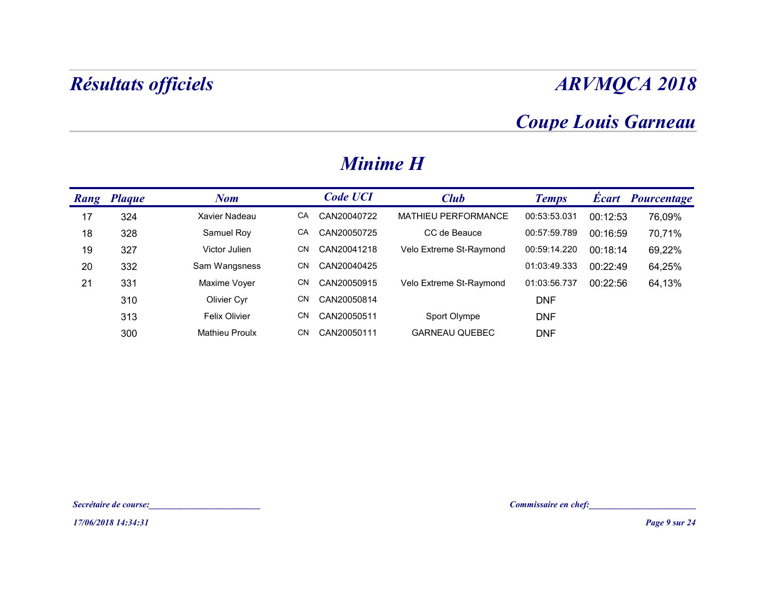## Coupe Louis Garneau

|    | Résultats officiels   |                                                        |    |                 |                         |                                                      |          | <b>ARVMQCA 2018</b>        |
|----|-----------------------|--------------------------------------------------------|----|-----------------|-------------------------|------------------------------------------------------|----------|----------------------------|
|    |                       |                                                        |    |                 |                         |                                                      |          | <b>Coupe Louis Garneau</b> |
|    |                       |                                                        |    | <b>Minime H</b> |                         |                                                      |          |                            |
|    | Rang Plaque           | <b>Nom</b>                                             |    | <b>Code UCI</b> | <b>Club</b>             | <b>Temps</b>                                         |          | Écart Pourcentage          |
| 17 | 324                   | Xavier Nadeau                                          | CA | CAN20040722     | MATHIEU PERFORMANCE     | 00:53:53.031                                         | 00:12:53 | 76,09%                     |
| 18 | 328                   | Samuel Roy                                             | CA | CAN20050725     | CC de Beauce            | 00:57:59.789                                         | 00:16:59 | 70,71%                     |
| 19 | 327                   | Victor Julien                                          | CN | CAN20041218     | Velo Extreme St-Raymond | 00:59:14.220                                         | 00:18:14 | 69,22%                     |
| 20 | 332                   | Sam Wangsness                                          | CN | CAN20040425     |                         | 01:03:49.333                                         | 00:22:49 | 64,25%                     |
| 21 | 331                   | Maxime Voyer                                           | CN | CAN20050915     | Velo Extreme St-Raymond | 01:03:56.737                                         | 00:22:56 | 64,13%                     |
|    | 310                   | Olivier Cyr                                            | CN | CAN20050814     |                         | <b>DNF</b>                                           |          |                            |
|    | 313                   | Felix Olivier                                          | CN | CAN20050511     | Sport Olympe            | <b>DNF</b>                                           |          |                            |
|    | 300                   | <b>Mathieu Proulx</b>                                  | CN | CAN20050111     | <b>GARNEAU QUEBEC</b>   | <b>DNF</b>                                           |          |                            |
|    |                       |                                                        |    |                 |                         |                                                      |          |                            |
|    |                       |                                                        |    |                 |                         |                                                      |          |                            |
|    |                       |                                                        |    |                 |                         |                                                      |          |                            |
|    |                       |                                                        |    |                 |                         |                                                      |          |                            |
|    | Secrétaire de course: | <u> 1980 - Johann Stein, mars französischer Karl (</u> |    |                 |                         | Commissaire en chef:<br><u>Commissaire en chef</u> : |          |                            |
|    | 17/06/2018 14:34:31   |                                                        |    |                 |                         |                                                      |          | Page 9 sur 24              |

#### Minime H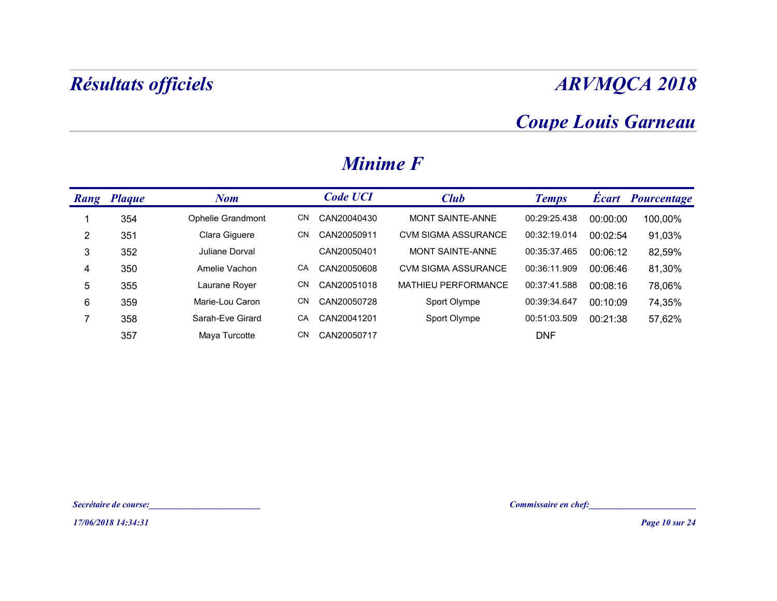## Coupe Louis Garneau

|                 | Résultats officiels |                       |    |                 |                            |                            |          | <b>ARVMQCA 2018</b>      |
|-----------------|---------------------|-----------------------|----|-----------------|----------------------------|----------------------------|----------|--------------------------|
|                 |                     |                       |    |                 |                            | <b>Coupe Louis Garneau</b> |          |                          |
|                 |                     |                       |    | <b>Minime F</b> |                            |                            |          |                          |
|                 | Rang Plaque         | <b>Nom</b>            |    | <b>Code UCI</b> | <b>Club</b>                | <b>Temps</b>               |          | <b>Écart Pourcentage</b> |
| -1              | 354                 | Ophelie Grandmont     | CN | CAN20040430     | MONT SAINTE-ANNE           | 00:29:25.438               | 00:00:00 | 100,00%                  |
| $\overline{2}$  | 351                 | Clara Giguere         | CN | CAN20050911     | <b>CVM SIGMA ASSURANCE</b> | 00:32:19.014               | 00:02:54 | 91,03%                   |
| $\mathbf{3}$    | 352                 | Juliane Dorval        |    | CAN20050401     | MONT SAINTE-ANNE           | 00:35:37.465               | 00:06:12 | 82,59%                   |
| $\overline{4}$  | 350                 | Amelie Vachon         | CA | CAN20050608     | CVM SIGMA ASSURANCE        | 00:36:11.909               | 00:06:46 | 81,30%                   |
| $\sqrt{5}$      | 355                 | Laurane Royer         | CN | CAN20051018     | MATHIEU PERFORMANCE        | 00:37:41.588               | 00:08:16 | 78,06%                   |
| $6\phantom{.}6$ | 359                 | Marie-Lou Caron       | CN | CAN20050728     | Sport Olympe               | 00:39:34.647               | 00:10:09 | 74,35%                   |
| $\overline{7}$  | 358                 | Sarah-Eve Girard      | CA | CAN20041201     | Sport Olympe               | 00:51:03.509               | 00:21:38 | 57,62%                   |
|                 | 357                 | Maya Turcotte         | CN | CAN20050717     |                            | <b>DNF</b>                 |          |                          |
|                 |                     |                       |    |                 |                            |                            |          |                          |
|                 |                     |                       |    |                 |                            |                            |          |                          |
|                 |                     |                       |    |                 |                            |                            |          |                          |
|                 |                     | Secrétaire de course: |    |                 |                            | Commissaire en chef:       |          |                          |
|                 | 17/06/2018 14:34:31 |                       |    |                 |                            |                            |          | <b>Page 10 sur 24</b>    |

#### Minime F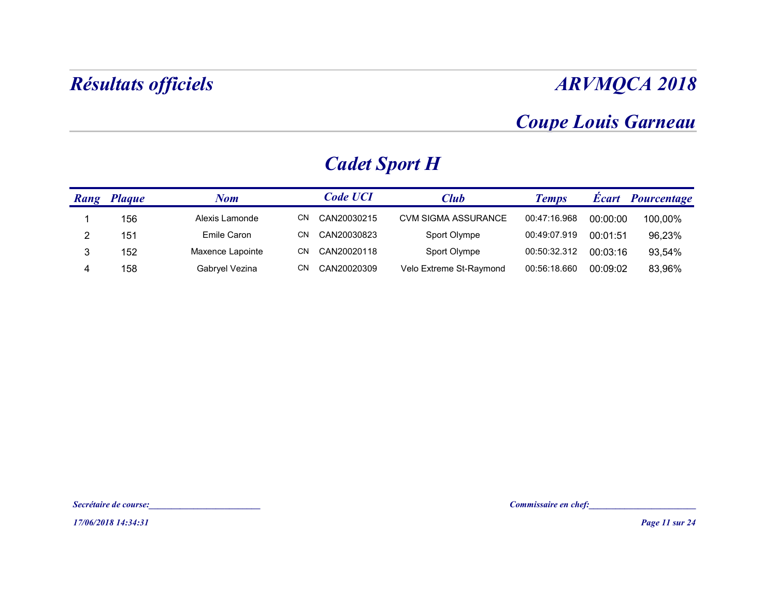#### Coupe Louis Garneau

|                | Résultats officiels   |                                       |                      |                         |                                                      |          | <b>ARVMQCA 2018</b>   |
|----------------|-----------------------|---------------------------------------|----------------------|-------------------------|------------------------------------------------------|----------|-----------------------|
|                |                       |                                       |                      |                         | <b>Coupe Louis Garneau</b>                           |          |                       |
|                |                       |                                       | <b>Cadet Sport H</b> |                         |                                                      |          |                       |
|                | <b>Rang Plaque</b>    | <b>Nom</b>                            | <b>Code UCI</b>      | <b>Club</b>             | <b>Temps</b>                                         |          | Écart Pourcentage     |
| $\mathbf{1}$   | 156                   | Alexis Lamonde                        | CN CAN20030215       | CVM SIGMA ASSURANCE     | 00:47:16.968                                         | 00:00:00 | 100,00%               |
| $\overline{2}$ | 151                   | Emile Caron                           | CN<br>CAN20030823    | Sport Olympe            | 00:49:07.919                                         | 00:01:51 | 96,23%                |
| $\mathbf{3}$   | 152                   | Maxence Lapointe                      | CN<br>CAN20020118    | Sport Olympe            | 00:50:32.312                                         | 00:03:16 | 93,54%                |
| 4              | 158                   | Gabryel Vezina                        | CN CAN20020309       | Velo Extreme St-Raymond | 00:56:18.660                                         | 00:09:02 | 83,96%                |
|                |                       |                                       |                      |                         |                                                      |          |                       |
|                |                       |                                       |                      |                         |                                                      |          |                       |
|                |                       |                                       |                      |                         |                                                      |          |                       |
|                |                       |                                       |                      |                         |                                                      |          |                       |
|                |                       |                                       |                      |                         |                                                      |          |                       |
|                |                       |                                       |                      |                         |                                                      |          |                       |
|                | Secrétaire de course: | <u> 1989 - Johann Barbara, martxa</u> |                      |                         | Commissaire en chef:<br><u>Commissaire en chef</u> : |          |                       |
|                | 17/06/2018 14:34:31   |                                       |                      |                         |                                                      |          | <b>Page 11 sur 24</b> |

### Cadet Sport H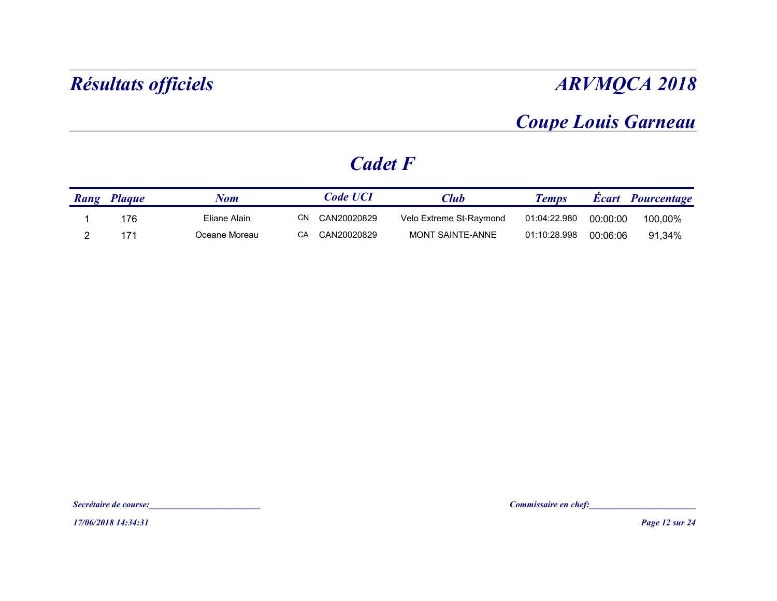### Coupe Louis Garneau

### Cadet F

| <b>ARVMQCA 2018</b> |          |                            |                         |                 |              | Résultats officiels |  |
|---------------------|----------|----------------------------|-------------------------|-----------------|--------------|---------------------|--|
|                     |          | <b>Coupe Louis Garneau</b> |                         |                 |              |                     |  |
|                     |          |                            |                         | <b>Cadet F</b>  |              |                     |  |
| Écart Pourcentage   |          | <b>Temps</b>               | <b>Club</b>             | <b>Code UCI</b> | <b>Nom</b>   | Rang Plaque         |  |
| 100,00%             | 00:00:00 | 01:04:22.980               | Velo Extreme St-Raymond | CN CAN20020829  | Eliane Alain | 176                 |  |
|                     |          |                            |                         |                 |              |                     |  |

17/06/2018 14:34:31<br>17/06/2018 14:34:31<br>17/06/2018 14:34:31 Secrétaire de course:<br>Secrétaire de course:<br>17/06/2018 14:34:31<br>Page 12 sur 24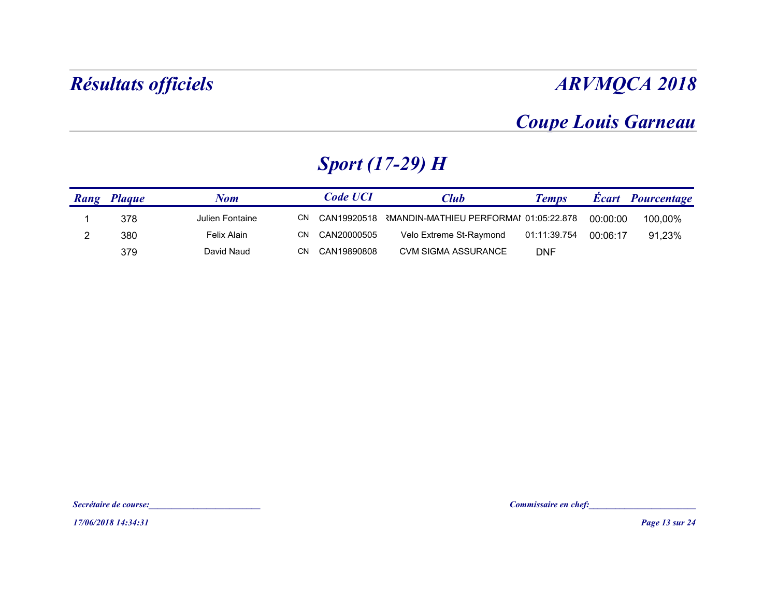### Coupe Louis Garneau

### Sport (17-29) H

|                         | <b>Résultats officiels</b>                   |                           |                                  |                                                       |                            |          | <b>ARVMQCA 2018</b>                                                    |
|-------------------------|----------------------------------------------|---------------------------|----------------------------------|-------------------------------------------------------|----------------------------|----------|------------------------------------------------------------------------|
|                         |                                              |                           |                                  |                                                       |                            |          | <b>Coupe Louis Garneau</b>                                             |
|                         |                                              |                           |                                  | <b>Sport (17-29) H</b>                                |                            |          |                                                                        |
|                         | Rang Plaque                                  | <b>Nom</b>                | <b>Code UCI</b>                  | <b>Club</b>                                           | <b>Temps</b>               |          | Écart Pourcentage                                                      |
| $\overline{\mathbf{1}}$ | 378                                          | Julien Fontaine           |                                  | CN CAN19920518 RMANDIN-MATHIEU PERFORMAI 01:05:22.878 |                            | 00:00:00 | 100,00%                                                                |
| $\overline{2}$          | 380<br>379                                   | Felix Alain<br>David Naud | CN CAN20000505<br>CN CAN19890808 | Velo Extreme St-Raymond<br>CVM SIGMA ASSURANCE        | 01:11:39.754<br><b>DNF</b> | 00:06:17 | 91,23%                                                                 |
|                         |                                              |                           |                                  |                                                       |                            |          |                                                                        |
|                         | Secrétaire de course:<br>17/06/2018 14:34:31 |                           |                                  |                                                       |                            |          | Commissaire en chef:<br><u>Commissaire en chef</u> :<br>Page 13 sur 24 |

17/06/2018 14:34:31<br>17/06/2018 14:34:31<br>17/06/2018 14:34:31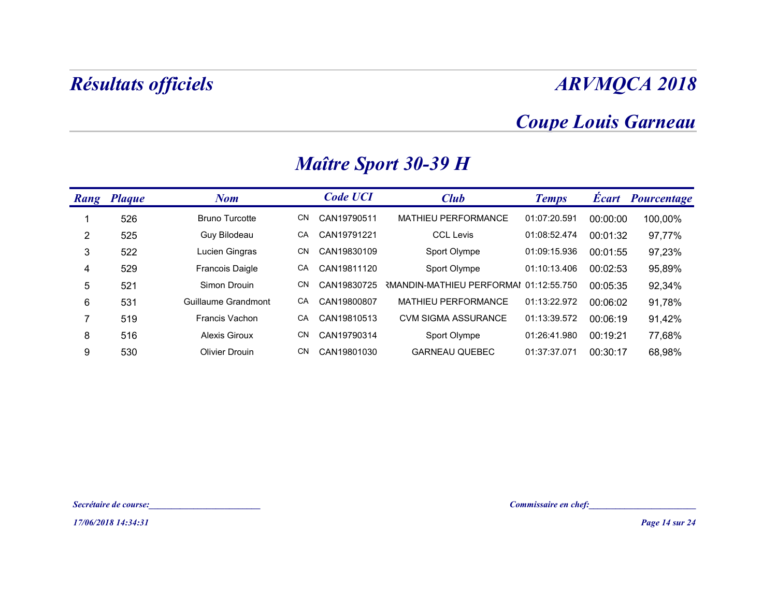### Coupe Louis Garneau

|                 | <b>Résultats officiels</b> |                                                                |    |                 |                                        |              |          | <b>ARVMQCA 2018</b>        |
|-----------------|----------------------------|----------------------------------------------------------------|----|-----------------|----------------------------------------|--------------|----------|----------------------------|
|                 |                            |                                                                |    |                 |                                        |              |          | <b>Coupe Louis Garneau</b> |
|                 |                            |                                                                |    |                 | <b>Maître Sport 30-39 H</b>            |              |          |                            |
|                 | Rang Plaque                | <b>Nom</b>                                                     |    | <b>Code UCI</b> | <b>Club</b>                            | <b>Temps</b> |          | Écart Pourcentage          |
| -1              | 526                        | <b>Bruno Turcotte</b>                                          | CN | CAN19790511     | MATHIEU PERFORMANCE                    | 01:07:20.591 | 00:00:00 | 100,00%                    |
| $\overline{2}$  | 525                        | Guy Bilodeau                                                   | CA | CAN19791221     | <b>CCL Levis</b>                       | 01:08:52.474 | 00:01:32 | 97,77%                     |
| $\mathbf{3}$    | 522                        | Lucien Gingras                                                 | CN | CAN19830109     | Sport Olympe                           | 01:09:15.936 | 00:01:55 | 97,23%                     |
| 4               | 529                        | Francois Daigle                                                | CA | CAN19811120     | Sport Olympe                           | 01:10:13.406 | 00:02:53 | 95,89%                     |
| $\mathbf 5$     | 521                        | Simon Drouin                                                   | CN | CAN19830725     | RMANDIN-MATHIEU PERFORMAI 01:12:55.750 |              | 00:05:35 | 92,34%                     |
| $6\phantom{.}6$ | 531                        | Guillaume Grandmont                                            | CA | CAN19800807     | MATHIEU PERFORMANCE                    | 01:13:22.972 | 00:06:02 | 91,78%                     |
| $\overline{7}$  | 519                        | Francis Vachon                                                 | CA | CAN19810513     | <b>CVM SIGMA ASSURANCE</b>             | 01:13:39.572 | 00:06:19 | 91,42%                     |
| 8               | 516                        | <b>Alexis Giroux</b>                                           | CN | CAN19790314     | Sport Olympe                           | 01:26:41.980 | 00:19:21 | 77,68%                     |
| $9\,$           | 530                        | <b>Olivier Drouin</b>                                          | CN | CAN19801030     | <b>GARNEAU QUEBEC</b>                  | 01:37:37.071 | 00:30:17 | 68,98%                     |
|                 |                            |                                                                |    |                 |                                        |              |          |                            |
|                 |                            |                                                                |    |                 |                                        |              |          |                            |
|                 |                            |                                                                |    |                 |                                        |              |          |                            |
|                 | Secrétaire de course:      | <u> 1989 - Johann Harry Marie Barnett, francuski filozof (</u> |    |                 |                                        |              |          | Commissaire en chef:       |
|                 | 17/06/2018 14:34:31        |                                                                |    |                 |                                        |              |          | Page 14 sur 24             |

## Maître Sport 30-39 H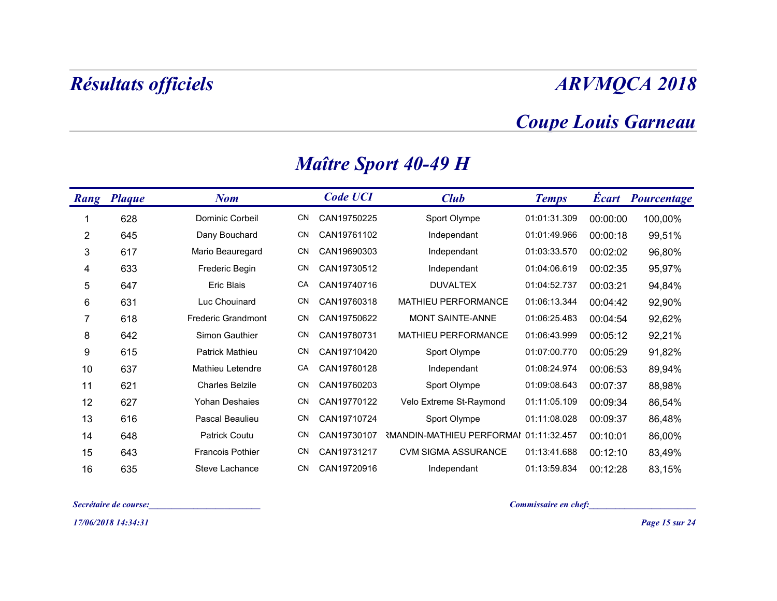### Coupe Louis Garneau

|                | <b>Résultats officiels</b> |                           |     |                 |                                                    |                       |          | <b>ARVMQCA 2018</b>        |
|----------------|----------------------------|---------------------------|-----|-----------------|----------------------------------------------------|-----------------------|----------|----------------------------|
|                |                            |                           |     |                 |                                                    |                       |          | <b>Coupe Louis Garneau</b> |
|                |                            |                           |     |                 | <b>Maître Sport 40-49 H</b>                        |                       |          |                            |
|                | <b>Rang Plaque</b>         | <b>Nom</b>                |     | <b>Code UCI</b> | <b>Club</b>                                        | <b>Temps</b>          |          | <b>Écart</b> Pourcentage   |
|                | 628                        | Dominic Corbeil           | CN  | CAN19750225     | Sport Olympe                                       | 01:01:31.309          | 00:00:00 | 100,00%                    |
| $\overline{2}$ | 645                        | Dany Bouchard             | CN. | CAN19761102     | Independant                                        | 01:01:49.966          | 00:00:18 | 99,51%                     |
| 3              | 617                        | Mario Beauregard          | CN. | CAN19690303     | Independant                                        | 01:03:33.570          | 00:02:02 | 96,80%                     |
| 4              | 633                        | Frederic Begin            | CN  | CAN19730512     | Independant                                        | 01:04:06.619          | 00:02:35 | 95,97%                     |
| $\sqrt{5}$     | 647                        | Eric Blais                | СA  | CAN19740716     | <b>DUVALTEX</b>                                    | 01:04:52.737          | 00:03:21 | 94,84%                     |
| $\,6$          | 631                        | Luc Chouinard             | CN  | CAN19760318     | MATHIEU PERFORMANCE                                | 01:06:13.344          | 00:04:42 | 92,90%                     |
| 7              | 618                        | <b>Frederic Grandmont</b> | CN  | CAN19750622     | MONT SAINTE-ANNE                                   | 01:06:25.483          | 00:04:54 | 92,62%                     |
| 8              | 642                        | Simon Gauthier            | CN. | CAN19780731     | MATHIEU PERFORMANCE                                | 01:06:43.999          | 00:05:12 | 92,21%                     |
| 9              | 615                        | Patrick Mathieu           | CN. | CAN19710420     | Sport Olympe                                       | 01:07:00.770          | 00:05:29 | 91,82%                     |
| 10             | 637                        | Mathieu Letendre          | CA  | CAN19760128     | Independant                                        | 01:08:24.974          | 00:06:53 | 89,94%                     |
| 11             | 621                        | <b>Charles Belzile</b>    | CN  | CAN19760203     | Sport Olympe                                       | 01:09:08.643 00:07:37 |          | 88,98%                     |
| 12             | 627                        | Yohan Deshaies            | CN. | CAN19770122     | Velo Extreme St-Raymond                            | 01:11:05.109          | 00:09:34 | 86,54%                     |
| 13             | 616                        | Pascal Beaulieu           | CN. | CAN19710724     | Sport Olympe                                       | 01:11:08.028          | 00:09:37 | 86,48%                     |
| 14             | 648                        | Patrick Coutu             | CN. |                 | CAN19730107 RMANDIN-MATHIEU PERFORMAI 01:11:32.457 |                       | 00:10:01 | 86,00%                     |
| 15             | 643                        | <b>Francois Pothier</b>   | CN. | CAN19731217     | CVM SIGMA ASSURANCE                                | 01:13:41.688          | 00:12:10 | 83,49%                     |
| 16             | 635                        | Steve Lachance            | CN  | CAN19720916     | Independant                                        | 01:13:59.834          | 00:12:28 | 83,15%                     |
|                | Secrétaire de course:      |                           |     |                 |                                                    | Commissaire en chef:  |          |                            |
|                | 17/06/2018 14:34:31        |                           |     |                 |                                                    |                       |          | Page 15 sur 24             |

### Maître Sport 40-49 H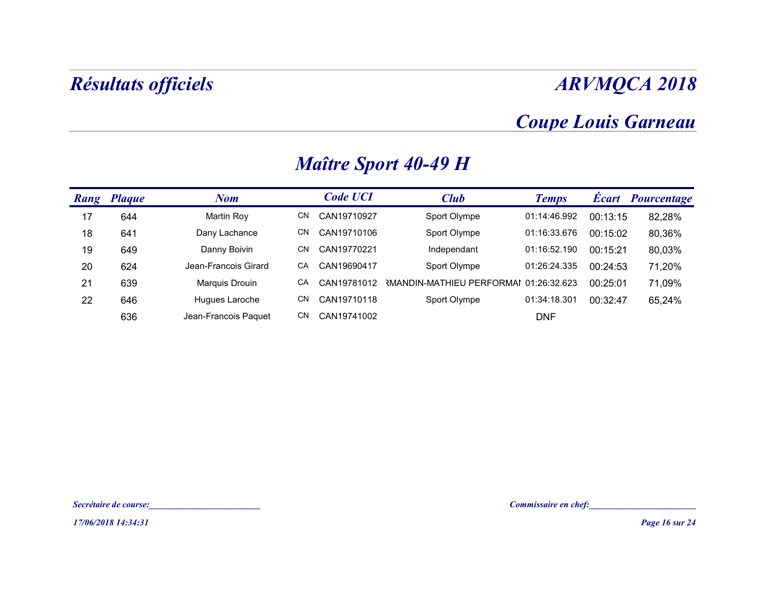### Coupe Louis Garneau

|    | Résultats officiels   |                      |    |                 |                                                    |                            |          | <b>ARVMQCA 2018</b>   |
|----|-----------------------|----------------------|----|-----------------|----------------------------------------------------|----------------------------|----------|-----------------------|
|    |                       |                      |    |                 |                                                    | <b>Coupe Louis Garneau</b> |          |                       |
|    |                       |                      |    |                 | <b>Maître Sport 40-49 H</b>                        |                            |          |                       |
|    | Rang Plaque           | <b>Nom</b>           |    | <b>Code UCI</b> | <b>Club</b>                                        | <b>Temps</b>               |          | Écart Pourcentage     |
| 17 | 644                   | <b>Martin Roy</b>    | CN | CAN19710927     | Sport Olympe                                       | 01:14:46.992               | 00:13:15 | 82,28%                |
| 18 | 641                   | Dany Lachance        | CN | CAN19710106     | Sport Olympe                                       | 01:16:33.676               | 00:15:02 | 80,36%                |
| 19 | 649                   | Danny Boivin         | CN | CAN19770221     | Independant                                        | 01:16:52.190               | 00:15:21 | 80,03%                |
| 20 | 624                   | Jean-Francois Girard | CA | CAN19690417     | Sport Olympe                                       | 01:26:24.335               | 00:24:53 | 71,20%                |
| 21 | 639                   | Marquis Drouin       | CA |                 | CAN19781012 RMANDIN-MATHIEU PERFORMAI 01:26:32.623 |                            | 00:25:01 | 71,09%                |
| 22 | 646                   | Hugues Laroche       | CN | CAN19710118     | Sport Olympe                                       | 01:34:18.301               | 00:32:47 | 65,24%                |
|    | 636                   | Jean-Francois Paquet | CN | CAN19741002     |                                                    | <b>DNF</b>                 |          |                       |
|    |                       |                      |    |                 |                                                    |                            |          |                       |
|    |                       |                      |    |                 |                                                    |                            |          |                       |
|    |                       |                      |    |                 |                                                    |                            |          |                       |
|    | Secrétaire de course: |                      |    |                 |                                                    | Commissaire en chef:       |          |                       |
|    | 17/06/2018 14:34:31   |                      |    |                 |                                                    |                            |          | <b>Page 16 sur 24</b> |

### Maître Sport 40-49 H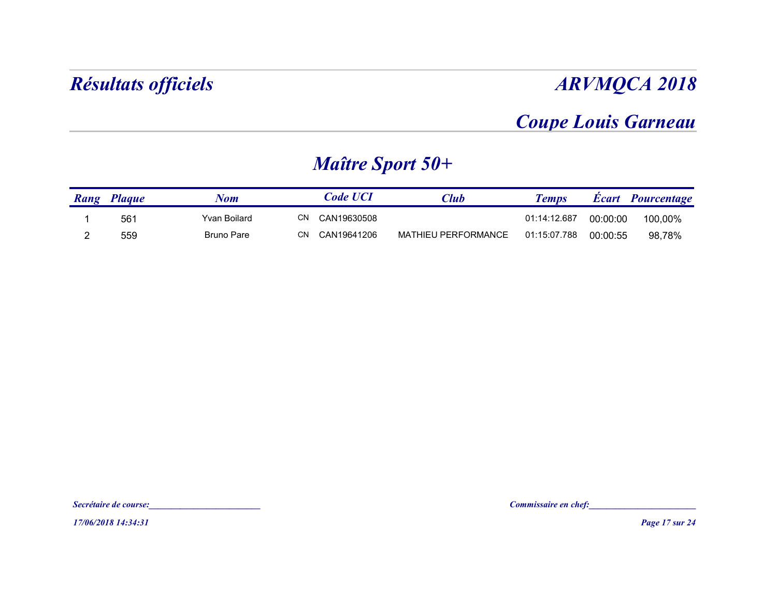### Coupe Louis Garneau

### Maître Sport 50+

| <b>ARVMQCA 2018</b> |          |                            |                            |                         |                   | Résultats officiels |                |
|---------------------|----------|----------------------------|----------------------------|-------------------------|-------------------|---------------------|----------------|
|                     |          | <b>Coupe Louis Garneau</b> |                            |                         |                   |                     |                |
|                     |          |                            |                            | <b>Maître Sport 50+</b> |                   |                     |                |
| Écart Pourcentage   |          | <b>Temps</b>               | <b>Club</b>                | <b>Code UCI</b>         | <b>Nom</b>        | Rang Plaque         |                |
| 100,00%             | 00:00:00 | 01:14:12.687               |                            | CN CAN19630508          | Yvan Boilard      | 561                 |                |
| 98,78%              | 00:00:55 | 01:15:07.788               | <b>MATHIEU PERFORMANCE</b> | CN CAN19641206          | <b>Bruno Pare</b> | 559                 | $\overline{2}$ |

17/06/2018 14:34:31<br>17/06/2018 14:34:31<br>17/06/2018 14:34:31 Secrétaire de course:<br>:<br>-<br>- Proge 17 sur 24<br>- Proge 17 sur 24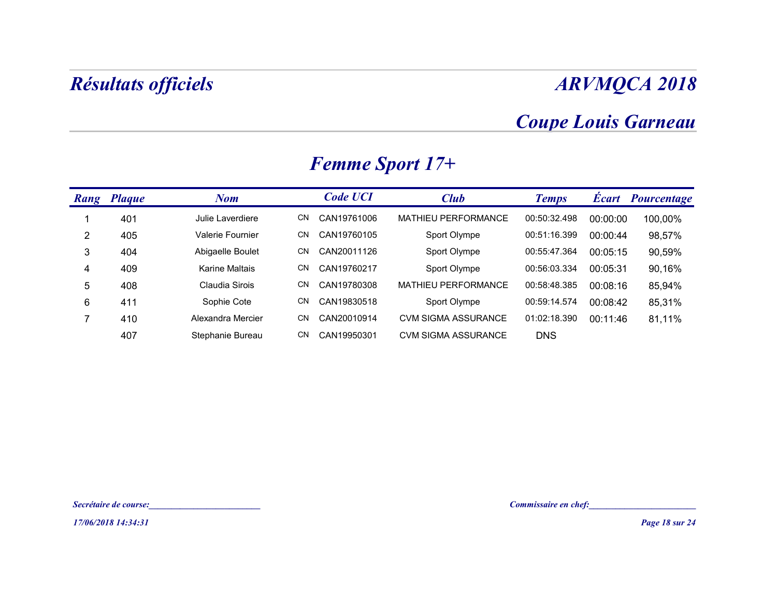### Coupe Louis Garneau

|                | Résultats officiels   |                   |                   |                            |                            |          | <b>ARVMQCA 2018</b>   |
|----------------|-----------------------|-------------------|-------------------|----------------------------|----------------------------|----------|-----------------------|
|                |                       |                   |                   |                            | <b>Coupe Louis Garneau</b> |          |                       |
|                |                       |                   |                   | <b>Femme Sport 17+</b>     |                            |          |                       |
|                | Rang Plaque           | <b>Nom</b>        | <b>Code UCI</b>   | <b>Club</b>                | <b>Temps</b>               |          | Écart Pourcentage     |
| $\mathbf{1}$   | 401                   | Julie Laverdiere  | CN CAN19761006    | MATHIEU PERFORMANCE        | 00:50:32.498               | 00:00:00 | 100,00%               |
| $\overline{2}$ | 405                   | Valerie Fournier  | CAN19760105<br>CN | Sport Olympe               | 00:51:16.399               | 00:00:44 | 98,57%                |
| $\sqrt{3}$     | 404                   | Abigaelle Boulet  | CN<br>CAN20011126 | Sport Olympe               | 00:55:47.364               | 00:05:15 | 90,59%                |
| 4              | 409                   | Karine Maltais    | CN<br>CAN19760217 | Sport Olympe               | 00:56:03.334               | 00:05:31 | 90,16%                |
| $\sqrt{5}$     | 408                   | Claudia Sirois    | CN<br>CAN19780308 | MATHIEU PERFORMANCE        | 00:58:48.385               | 00:08:16 | 85,94%                |
| $\,6\,$        | 411                   | Sophie Cote       | CN<br>CAN19830518 | Sport Olympe               | 00:59:14.574               | 00:08:42 | 85,31%                |
| $\overline{7}$ | 410                   | Alexandra Mercier | CAN20010914<br>CN | <b>CVM SIGMA ASSURANCE</b> | 01:02:18.390               | 00:11:46 | 81,11%                |
|                | 407                   | Stephanie Bureau  | CN CAN19950301    | <b>CVM SIGMA ASSURANCE</b> | <b>DNS</b>                 |          |                       |
|                |                       |                   |                   |                            |                            |          |                       |
|                | Secrétaire de course: |                   |                   |                            | Commissaire en chef:       |          |                       |
|                | 17/06/2018 14:34:31   |                   |                   |                            |                            |          | <b>Page 18 sur 24</b> |

### Femme Sport 17+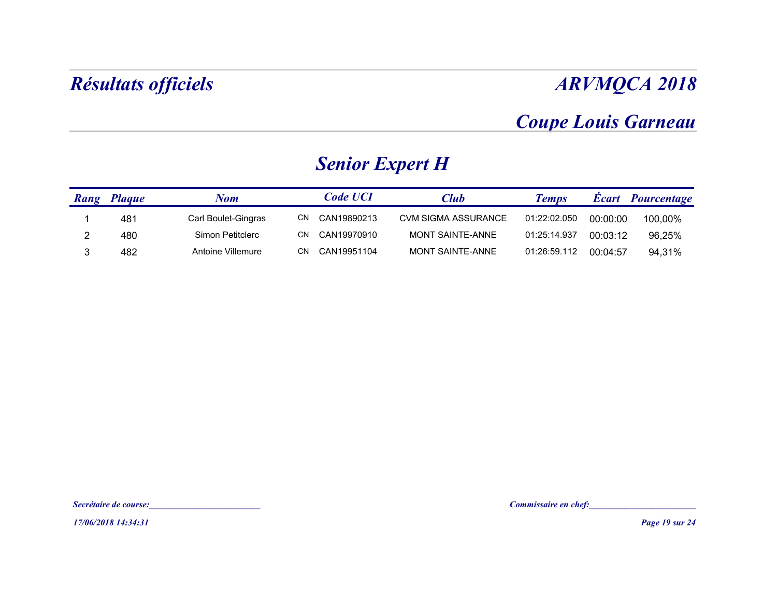### Coupe Louis Garneau

### Senior Expert H

|                | <b>Résultats officiels</b> |                       |    |                        |                     |                            |          | <b>ARVMQCA 2018</b> |
|----------------|----------------------------|-----------------------|----|------------------------|---------------------|----------------------------|----------|---------------------|
|                |                            |                       |    |                        |                     | <b>Coupe Louis Garneau</b> |          |                     |
|                |                            |                       |    | <b>Senior Expert H</b> |                     |                            |          |                     |
|                | <b>Rang Plaque</b>         | <b>Nom</b>            |    | <b>Code UCI</b>        | <b>Club</b>         | <b>Temps</b>               |          | Écart Pourcentage   |
| -1             | 481                        | Carl Boulet-Gingras   |    | CN CAN19890213         | CVM SIGMA ASSURANCE | 01:22:02.050               | 00:00:00 | 100,00%             |
| $\overline{2}$ | 480                        | Simon Petitclerc      | CN | CAN19970910            | MONT SAINTE-ANNE    | 01:25:14.937               | 00:03:12 | 96,25%              |
|                |                            |                       |    |                        |                     |                            |          |                     |
|                | 17/06/2018 14:34:31        | Secrétaire de course: |    |                        |                     | Commissaire en chef:       |          | Page 19 sur 24      |

17/06/2018 14:34:31<br>17/06/2018 14:34:31<br>17/06/2018 14:34:31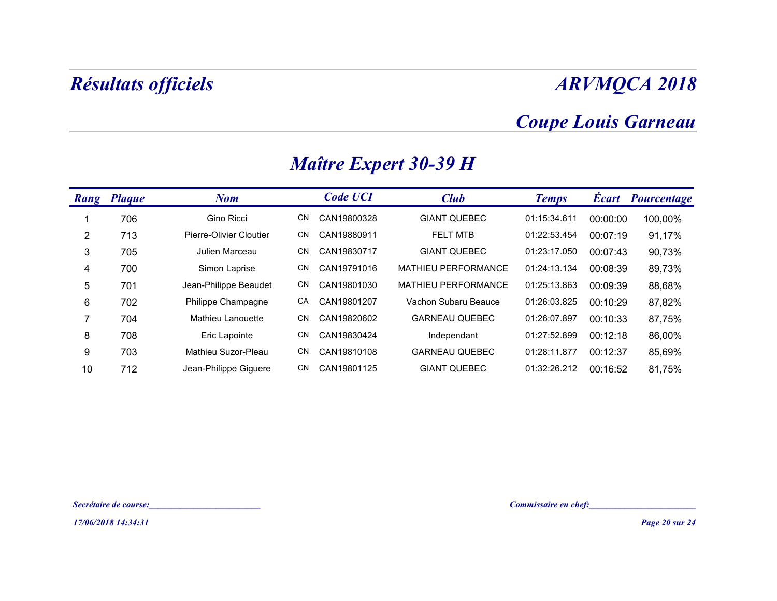### Coupe Louis Garneau

|                       |                     | Résultats officiels                      |    |                 |                              |                                                      |          | <b>ARVMQCA 2018</b> |
|-----------------------|---------------------|------------------------------------------|----|-----------------|------------------------------|------------------------------------------------------|----------|---------------------|
|                       |                     |                                          |    |                 |                              | <b>Coupe Louis Garneau</b>                           |          |                     |
|                       |                     |                                          |    |                 | <b>Maître Expert 30-39 H</b> |                                                      |          |                     |
| Rang Plaque           |                     | <b>Nom</b>                               |    | <b>Code UCI</b> | <b>Club</b>                  | <b>Temps</b>                                         |          | Écart Pourcentage   |
| -1                    | 706                 | Gino Ricci                               |    | CN CAN19800328  | <b>GIANT QUEBEC</b>          | 01:15:34.611                                         | 00:00:00 | 100,00%             |
| $\overline{2}$        | 713                 | Pierre-Olivier Cloutier                  |    | CN CAN19880911  | FELT MTB                     | 01:22:53.454                                         | 00:07:19 | 91,17%              |
| $\mathbf{3}$          | 705                 | Julien Marceau                           |    | CN CAN19830717  | <b>GIANT QUEBEC</b>          | 01:23:17.050                                         | 00:07:43 | 90,73%              |
| 4                     | 700                 | Simon Laprise                            | CN | CAN19791016     | MATHIEU PERFORMANCE          | 01:24:13.134                                         | 00:08:39 | 89,73%              |
| $5\phantom{.0}$       | 701                 | Jean-Philippe Beaudet                    | CN | CAN19801030     | MATHIEU PERFORMANCE          | 01:25:13.863                                         | 00:09:39 | 88,68%              |
| 6                     | 702                 | Philippe Champagne                       | CA | CAN19801207     | Vachon Subaru Beauce         | 01:26:03.825                                         | 00:10:29 | 87,82%              |
| $\overline{7}$        | 704                 | Mathieu Lanouette                        | CN | CAN19820602     | <b>GARNEAU QUEBEC</b>        | 01:26:07.897                                         | 00:10:33 | 87,75%              |
| 8                     | 708                 | Eric Lapointe                            |    | CN CAN19830424  | Independant                  | 01:27:52.899                                         | 00:12:18 | 86,00%              |
| 9                     | 703                 | Mathieu Suzor-Pleau                      |    | CN CAN19810108  | <b>GARNEAU QUEBEC</b>        | 01:28:11.877                                         | 00:12:37 | 85,69%              |
| 10                    | 712                 | Jean-Philippe Giguere                    |    | CN CAN19801125  | <b>GIANT QUEBEC</b>          | 01:32:26.212                                         | 00:16:52 | 81,75%              |
|                       |                     |                                          |    |                 |                              |                                                      |          |                     |
| Secrétaire de course: |                     | <u> 1989 - Johann Barbara, martxa al</u> |    |                 |                              | Commissaire en chef:<br><u>Commissaire en chef</u> : |          |                     |
|                       | 17/06/2018 14:34:31 |                                          |    |                 |                              |                                                      |          | Page 20 sur 24      |

### Maître Expert 30-39 H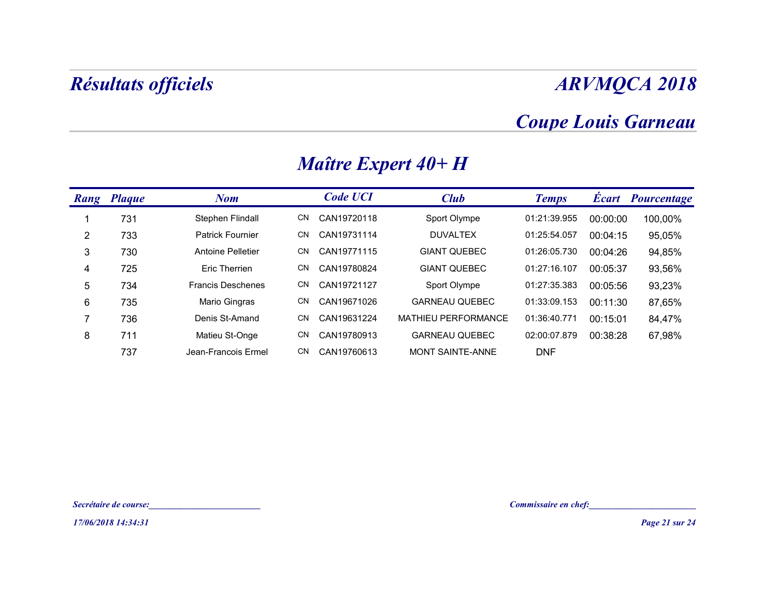### Coupe Louis Garneau

|                | <b>Résultats officiels</b> |                          |    |                 |                       |                                                      |          | <b>ARVMQCA 2018</b>      |
|----------------|----------------------------|--------------------------|----|-----------------|-----------------------|------------------------------------------------------|----------|--------------------------|
|                |                            |                          |    |                 |                       | <b>Coupe Louis Garneau</b>                           |          |                          |
|                |                            |                          |    |                 | Maître Expert 40+ H   |                                                      |          |                          |
|                | <b>Rang Plaque</b>         | <b>Nom</b>               |    | <b>Code UCI</b> | <b>Club</b>           | <b>Temps</b>                                         |          | <b>Écart</b> Pourcentage |
| -1             | 731                        | Stephen Flindall         |    | CN CAN19720118  | Sport Olympe          | 01:21:39.955                                         | 00:00:00 | 100,00%                  |
| $\overline{2}$ | 733                        | Patrick Fournier         | CN | CAN19731114     | <b>DUVALTEX</b>       | 01:25:54.057                                         | 00:04:15 | 95,05%                   |
| $\mathfrak{S}$ | 730                        | Antoine Pelletier        | CN | CAN19771115     | <b>GIANT QUEBEC</b>   | 01:26:05.730                                         | 00:04:26 | 94,85%                   |
| $\overline{4}$ | 725                        | Eric Therrien            | CN | CAN19780824     | <b>GIANT QUEBEC</b>   | 01:27:16.107                                         | 00:05:37 | 93,56%                   |
| 5              | 734                        | <b>Francis Deschenes</b> | CN | CAN19721127     | Sport Olympe          | 01:27:35.383                                         | 00:05:56 | 93,23%                   |
| 6              | 735                        | Mario Gingras            | CN | CAN19671026     | <b>GARNEAU QUEBEC</b> | 01:33:09.153                                         | 00:11:30 | 87,65%                   |
| $\overline{7}$ | 736                        | Denis St-Amand           | CN | CAN19631224     | MATHIEU PERFORMANCE   | 01:36:40.771                                         | 00:15:01 | 84,47%                   |
| 8              | 711                        | Matieu St-Onge           | CN | CAN19780913     | <b>GARNEAU QUEBEC</b> | 02:00:07.879                                         | 00:38:28 | 67,98%                   |
|                | 737                        | Jean-Francois Ermel      | CN | CAN19760613     | MONT SAINTE-ANNE      | <b>DNF</b>                                           |          |                          |
|                |                            |                          |    |                 |                       |                                                      |          |                          |
|                |                            |                          |    |                 |                       |                                                      |          |                          |
|                |                            |                          |    |                 |                       |                                                      |          |                          |
|                | Secrétaire de course:      |                          |    |                 |                       | Commissaire en chef:<br><u>Commissaire en chef</u> : |          |                          |
|                | 17/06/2018 14:34:31        |                          |    |                 |                       |                                                      |          | <b>Page 21 sur 24</b>    |

#### Maître Expert 40+ H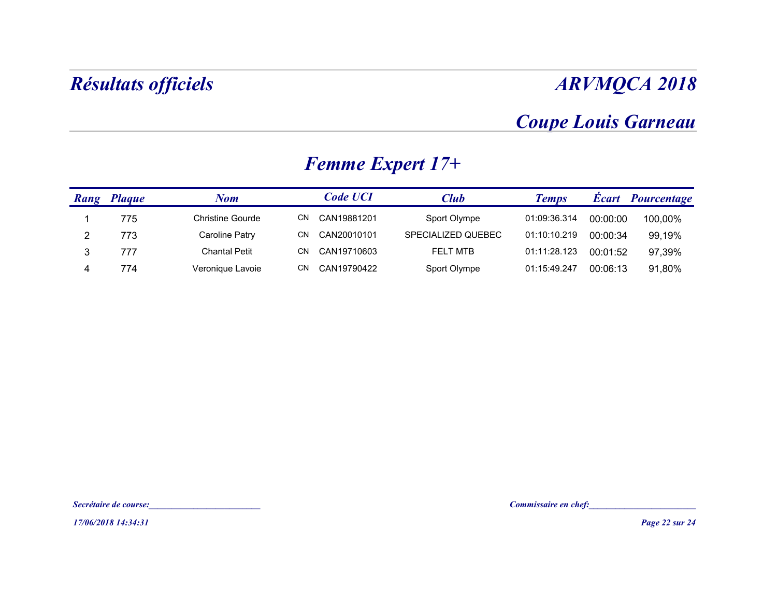#### Coupe Louis Garneau

|                | Résultats officiels                          |                         |                         |                    |                            |          | <b>ARVMQCA 2018</b> |
|----------------|----------------------------------------------|-------------------------|-------------------------|--------------------|----------------------------|----------|---------------------|
|                |                                              |                         |                         |                    | <b>Coupe Louis Garneau</b> |          |                     |
|                |                                              |                         | <b>Femme Expert 17+</b> |                    |                            |          |                     |
|                | <b>Rang Plaque</b>                           | <b>Nom</b>              | <b>Code UCI</b>         | <b>Club</b>        | <b>Temps</b>               |          | Écart Pourcentage   |
| $\overline{1}$ | 775                                          | <b>Christine Gourde</b> | CN CAN19881201          | Sport Olympe       | 01:09:36.314               | 00:00:00 | 100,00%             |
| $\overline{2}$ | 773                                          | <b>Caroline Patry</b>   | CN CAN20010101          | SPECIALIZED QUEBEC | 01:10:10.219               | 00:00:34 | 99,19%              |
| $\mathfrak{S}$ | 777                                          | <b>Chantal Petit</b>    | CN CAN19710603          | FELT MTB           | 01:11:28.123               | 00:01:52 | 97,39%              |
|                |                                              |                         |                         |                    |                            |          |                     |
|                | Secrétaire de course:<br>17/06/2018 14:34:31 |                         |                         |                    | Commissaire en chef:       |          | Page 22 sur 24      |

### Femme Expert 17+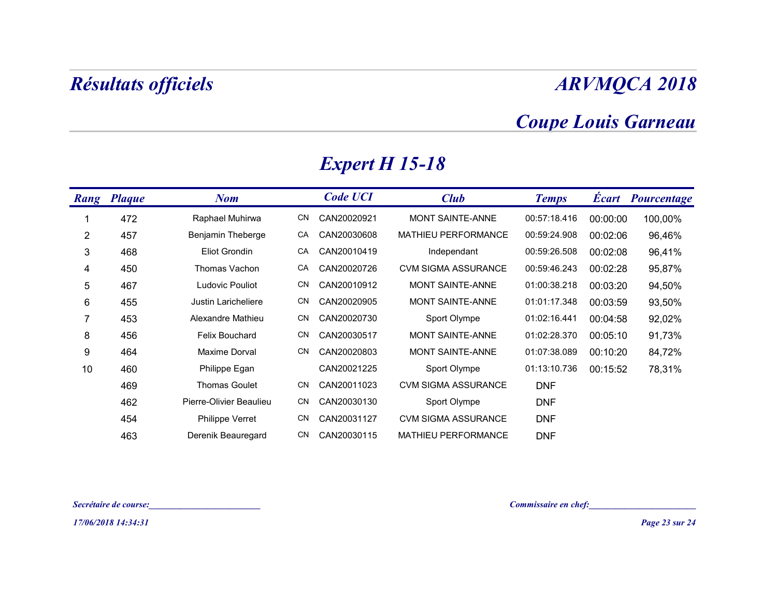### Coupe Louis Garneau

|                | Résultats officiels |                         |                       |                     |                            |          | <b>ARVMQCA 2018</b>      |
|----------------|---------------------|-------------------------|-----------------------|---------------------|----------------------------|----------|--------------------------|
|                |                     |                         |                       |                     | <b>Coupe Louis Garneau</b> |          |                          |
|                |                     |                         | <b>Expert H 15-18</b> |                     |                            |          |                          |
|                | Rang Plaque         | <b>Nom</b>              | <b>Code UCI</b>       | <b>Club</b>         | <b>Temps</b>               |          | <b>Écart Pourcentage</b> |
| -1             | 472                 | Raphael Muhirwa         | CN CAN20020921        | MONT SAINTE-ANNE    | 00:57:18.416               | 00:00:00 | 100,00%                  |
| $\overline{2}$ | 457                 | Benjamin Theberge       | CA CAN20030608        | MATHIEU PERFORMANCE | 00:59:24.908               | 00:02:06 | 96,46%                   |
| 3              | 468                 | Eliot Grondin           | CA CAN20010419        | Independant         | 00:59:26.508               | 00:02:08 | 96,41%                   |
| 4              | 450                 | Thomas Vachon           | CA CAN20020726        | CVM SIGMA ASSURANCE | 00:59:46.243               | 00:02:28 | 95,87%                   |
| $\overline{5}$ | 467                 | Ludovic Pouliot         | CN CAN20010912        | MONT SAINTE-ANNE    | 01:00:38.218               | 00:03:20 | 94,50%                   |
| 6              | 455                 | Justin Laricheliere     | CN CAN20020905        | MONT SAINTE-ANNE    | 01:01:17.348               | 00:03:59 | 93,50%                   |
| 7              | 453                 | Alexandre Mathieu       | CN CAN20020730        | Sport Olympe        | 01:02:16.441               | 00:04:58 | 92,02%                   |
| 8              | 456                 | Felix Bouchard          | CN CAN20030517        | MONT SAINTE-ANNE    | 01:02:28.370               | 00:05:10 | 91,73%                   |
| 9              | 464                 | Maxime Dorval           | CN CAN20020803        | MONT SAINTE-ANNE    | 01:07:38.089               | 00:10:20 | 84,72%                   |
| 10             | 460                 | Philippe Egan           | CAN20021225           | Sport Olympe        | 01:13:10.736               | 00:15:52 | 78,31%                   |
|                | 469                 | <b>Thomas Goulet</b>    | CN CAN20011023        | CVM SIGMA ASSURANCE | <b>DNF</b>                 |          |                          |
|                | 462                 | Pierre-Olivier Beaulieu | CN CAN20030130        | Sport Olympe        | <b>DNF</b>                 |          |                          |
|                | 454<br>463          | Philippe Verret         | CN CAN20031127        | CVM SIGMA ASSURANCE | <b>DNF</b>                 |          |                          |
|                |                     | Derenik Beauregard      | CN CAN20030115        | MATHIEU PERFORMANCE | <b>DNF</b>                 |          |                          |

# Expert H 15-18